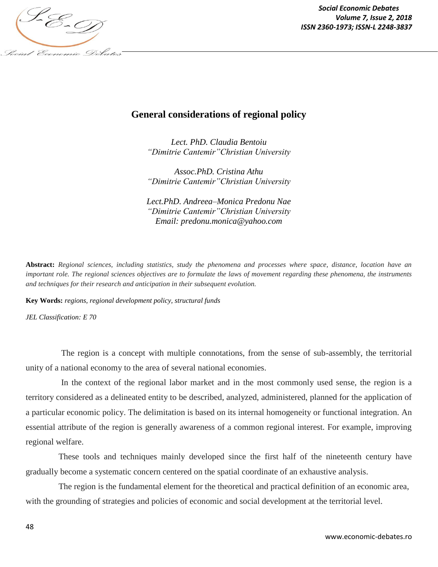

## **General considerations of regional policy**

*Lect. PhD. Claudia Bentoiu "Dimitrie Cantemir"Christian University*

*Assoc.PhD. Cristina Athu "Dimitrie Cantemir"Christian University*

*Lect.PhD. Andreea–Monica Predonu Nae "Dimitrie Cantemir"Christian University Email: predonu.monica@yahoo.com*

**Abstract:** *Regional sciences, including statistics, study the phenomena and processes where space, distance, location have an important role. The regional sciences objectives are to formulate the laws of movement regarding these phenomena, the instruments and techniques for their research and anticipation in their subsequent evolution.*

**Key Words:** *regions, regional development policy, structural funds*

*JEL Classification: E 70*

The region is a concept with multiple connotations, from the sense of sub-assembly, the territorial unity of a national economy to the area of several national economies.

In the context of the regional labor market and in the most commonly used sense, the region is a territory considered as a delineated entity to be described, analyzed, administered, planned for the application of a particular economic policy. The delimitation is based on its internal homogeneity or functional integration. An essential attribute of the region is generally awareness of a common regional interest. For example, improving regional welfare.

These tools and techniques mainly developed since the first half of the nineteenth century have gradually become a systematic concern centered on the spatial coordinate of an exhaustive analysis.

The region is the fundamental element for the theoretical and practical definition of an economic area, with the grounding of strategies and policies of economic and social development at the territorial level.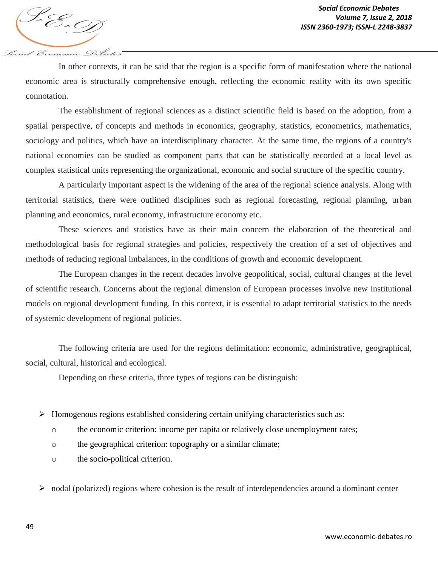In other contexts, it can be said that the region is a specific form of manifestation where the national economic area is structurally comprehensive enough, reflecting the economic reality with its own specific connotation.

The establishment of regional sciences as a distinct scientific field is based on the adoption, from a spatial perspective, of concepts and methods in economics, geography, statistics, econometrics, mathematics, sociology and politics, which have an interdisciplinary character. At the same time, the regions of a country's national economies can be studied as component parts that can be statistically recorded at a local level as complex statistical units representing the organizational, economic and social structure of the specific country.

A particularly important aspect is the widening of the area of the regional science analysis. Along with territorial statistics, there were outlined disciplines such as regional forecasting, regional planning, urban planning and economics, rural economy, infrastructure economy etc.

These sciences and statistics have as their main concern the elaboration of the theoretical and methodological basis for regional strategies and policies, respectively the creation of a set of objectives and methods of reducing regional imbalances, in the conditions of growth and economic development.

The European changes in the recent decades involve geopolitical, social, cultural changes at the level of scientific research. Concerns about the regional dimension of European processes involve new institutional models on regional development funding. In this context, it is essential to adapt territorial statistics to the needs of systemic development of regional policies.

The following criteria are used for the regions delimitation: economic, administrative, geographical, social, cultural, historical and ecological.

Depending on these criteria, three types of regions can be distinguish:

 $\triangleright$  Homogenous regions established considering certain unifying characteristics such as:

- o the economic criterion: income per capita or relatively close unemployment rates;
- o the geographical criterion: topography or a similar climate;
- o the socio-political criterion.
- $\triangleright$  nodal (polarized) regions where cohesion is the result of interdependencies around a dominant center

Social Economic Debates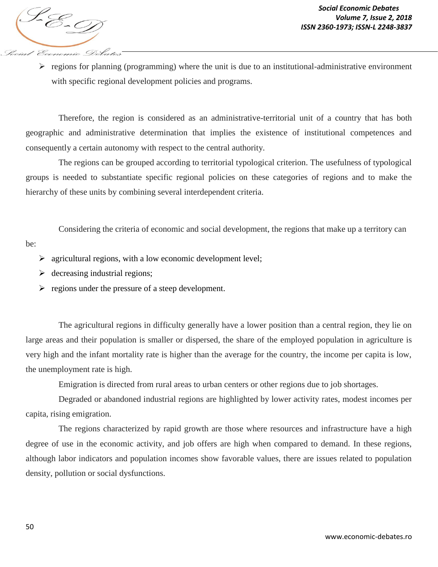$\triangleright$  regions for planning (programming) where the unit is due to an institutional-administrative environment with specific regional development policies and programs.

Therefore, the region is considered as an administrative-territorial unit of a country that has both geographic and administrative determination that implies the existence of institutional competences and consequently a certain autonomy with respect to the central authority.

The regions can be grouped according to territorial typological criterion. The usefulness of typological groups is needed to substantiate specific regional policies on these categories of regions and to make the hierarchy of these units by combining several interdependent criteria.

Considering the criteria of economic and social development, the regions that make up a territory can

be:

- $\triangleright$  agricultural regions, with a low economic development level;
- $\triangleright$  decreasing industrial regions;
- $\triangleright$  regions under the pressure of a steep development.

The agricultural regions in difficulty generally have a lower position than a central region, they lie on large areas and their population is smaller or dispersed, the share of the employed population in agriculture is very high and the infant mortality rate is higher than the average for the country, the income per capita is low, the unemployment rate is high.

Emigration is directed from rural areas to urban centers or other regions due to job shortages.

Degraded or abandoned industrial regions are highlighted by lower activity rates, modest incomes per capita, rising emigration.

The regions characterized by rapid growth are those where resources and infrastructure have a high degree of use in the economic activity, and job offers are high when compared to demand. In these regions, although labor indicators and population incomes show favorable values, there are issues related to population density, pollution or social dysfunctions.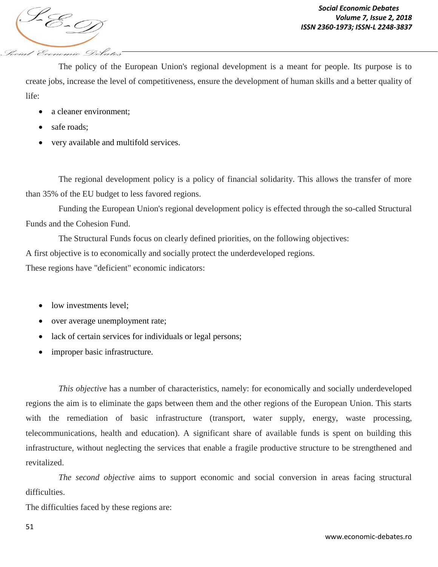Pocial Economic Debates

The policy of the European Union's regional development is a meant for people. Its purpose is to create jobs, increase the level of competitiveness, ensure the development of human skills and a better quality of life:

- a cleaner environment;
- safe roads;
- very available and multifold services.

The regional development policy is a policy of financial solidarity. This allows the transfer of more than 35% of the EU budget to less favored regions.

Funding the European Union's regional development policy is effected through the so-called Structural Funds and the Cohesion Fund.

The Structural Funds focus on clearly defined priorities, on the following objectives: A first objective is to economically and socially protect the underdeveloped regions. These regions have "deficient" economic indicators:

- low investments level;
- over average unemployment rate;
- lack of certain services for individuals or legal persons;
- improper basic infrastructure.

*This objective* has a number of characteristics, namely: for economically and socially underdeveloped regions the aim is to eliminate the gaps between them and the other regions of the European Union. This starts with the remediation of basic infrastructure (transport, water supply, energy, waste processing, telecommunications, health and education). A significant share of available funds is spent on building this infrastructure, without neglecting the services that enable a fragile productive structure to be strengthened and revitalized.

*The second objective* aims to support economic and social conversion in areas facing structural difficulties.

The difficulties faced by these regions are: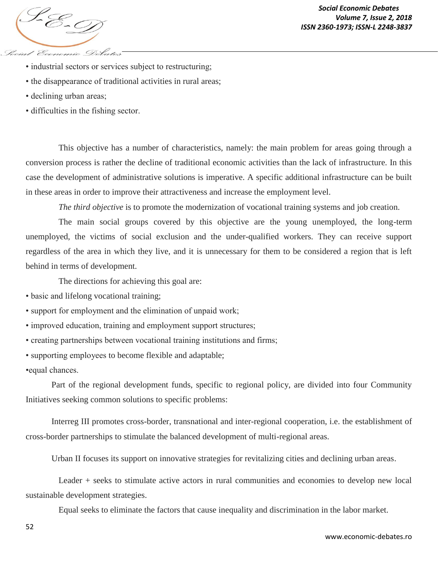

- industrial sectors or services subject to restructuring;
- the disappearance of traditional activities in rural areas;
- declining urban areas;
- difficulties in the fishing sector.

This objective has a number of characteristics, namely: the main problem for areas going through a conversion process is rather the decline of traditional economic activities than the lack of infrastructure. In this case the development of administrative solutions is imperative. A specific additional infrastructure can be built in these areas in order to improve their attractiveness and increase the employment level.

*The third objective* is to promote the modernization of vocational training systems and job creation.

The main social groups covered by this objective are the young unemployed, the long-term unemployed, the victims of social exclusion and the under-qualified workers. They can receive support regardless of the area in which they live, and it is unnecessary for them to be considered a region that is left behind in terms of development.

The directions for achieving this goal are:

- basic and lifelong vocational training;
- support for employment and the elimination of unpaid work;
- improved education, training and employment support structures;
- creating partnerships between vocational training institutions and firms;
- supporting employees to become flexible and adaptable;

•equal chances.

Part of the regional development funds, specific to regional policy, are divided into four Community Initiatives seeking common solutions to specific problems:

Interreg III promotes cross-border, transnational and inter-regional cooperation, i.e. the establishment of cross-border partnerships to stimulate the balanced development of multi-regional areas.

Urban II focuses its support on innovative strategies for revitalizing cities and declining urban areas.

Leader + seeks to stimulate active actors in rural communities and economies to develop new local sustainable development strategies.

Equal seeks to eliminate the factors that cause inequality and discrimination in the labor market.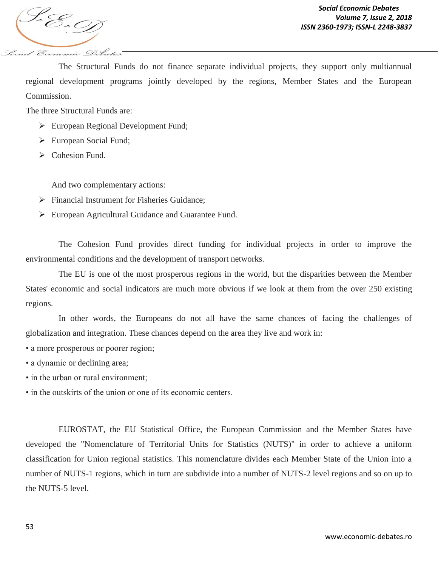*ISSN 2360-1973; ISSN-L 2248-3837* Social Economic Debates

The Structural Funds do not finance separate individual projects, they support only multiannual regional development programs jointly developed by the regions, Member States and the European Commission.

The three Structural Funds are:

- European Regional Development Fund;
- European Social Fund;
- Cohesion Fund.

And two complementary actions:

- $\triangleright$  Financial Instrument for Fisheries Guidance;
- European Agricultural Guidance and Guarantee Fund.

The Cohesion Fund provides direct funding for individual projects in order to improve the environmental conditions and the development of transport networks.

The EU is one of the most prosperous regions in the world, but the disparities between the Member States' economic and social indicators are much more obvious if we look at them from the over 250 existing regions.

In other words, the Europeans do not all have the same chances of facing the challenges of globalization and integration. These chances depend on the area they live and work in:

- a more prosperous or poorer region;
- a dynamic or declining area;
- in the urban or rural environment;
- in the outskirts of the union or one of its economic centers.

EUROSTAT, the EU Statistical Office, the European Commission and the Member States have developed the "Nomenclature of Territorial Units for Statistics (NUTS)" in order to achieve a uniform classification for Union regional statistics. This nomenclature divides each Member State of the Union into a number of NUTS-1 regions, which in turn are subdivide into a number of NUTS-2 level regions and so on up to the NUTS-5 level.